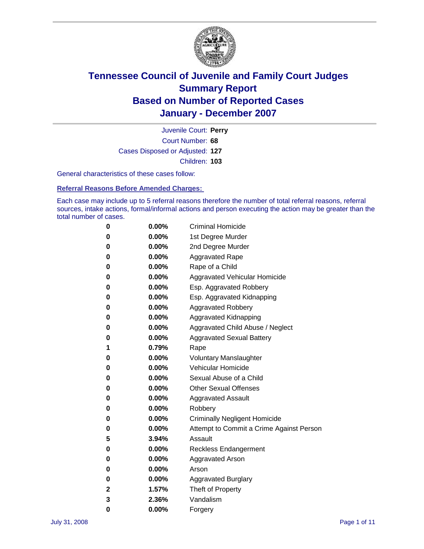

Court Number: **68** Juvenile Court: **Perry** Cases Disposed or Adjusted: **127** Children: **103**

General characteristics of these cases follow:

**Referral Reasons Before Amended Charges:** 

Each case may include up to 5 referral reasons therefore the number of total referral reasons, referral sources, intake actions, formal/informal actions and person executing the action may be greater than the total number of cases.

| 0 | $0.00\%$ | <b>Criminal Homicide</b>                 |
|---|----------|------------------------------------------|
| 0 | 0.00%    | 1st Degree Murder                        |
| 0 | $0.00\%$ | 2nd Degree Murder                        |
| 0 | $0.00\%$ | <b>Aggravated Rape</b>                   |
| 0 | $0.00\%$ | Rape of a Child                          |
| 0 | 0.00%    | Aggravated Vehicular Homicide            |
| 0 | 0.00%    | Esp. Aggravated Robbery                  |
| 0 | $0.00\%$ | Esp. Aggravated Kidnapping               |
| 0 | $0.00\%$ | <b>Aggravated Robbery</b>                |
| 0 | $0.00\%$ | Aggravated Kidnapping                    |
| 0 | $0.00\%$ | Aggravated Child Abuse / Neglect         |
| 0 | $0.00\%$ | <b>Aggravated Sexual Battery</b>         |
| 1 | 0.79%    | Rape                                     |
| 0 | $0.00\%$ | <b>Voluntary Manslaughter</b>            |
| 0 | $0.00\%$ | Vehicular Homicide                       |
| 0 | 0.00%    | Sexual Abuse of a Child                  |
| 0 | $0.00\%$ | <b>Other Sexual Offenses</b>             |
| 0 | $0.00\%$ | <b>Aggravated Assault</b>                |
| 0 | $0.00\%$ | Robbery                                  |
| 0 | $0.00\%$ | <b>Criminally Negligent Homicide</b>     |
| 0 | $0.00\%$ | Attempt to Commit a Crime Against Person |
| 5 | 3.94%    | Assault                                  |
| 0 | 0.00%    | Reckless Endangerment                    |
| 0 | $0.00\%$ | <b>Aggravated Arson</b>                  |
| 0 | $0.00\%$ | Arson                                    |
| 0 | $0.00\%$ | <b>Aggravated Burglary</b>               |
| 2 | 1.57%    | Theft of Property                        |
| 3 | 2.36%    | Vandalism                                |
| 0 | 0.00%    | Forgery                                  |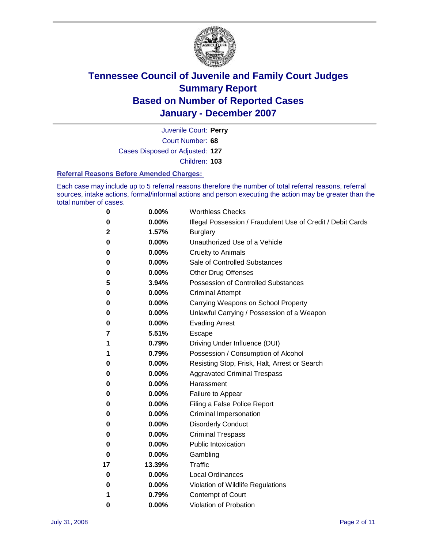

Court Number: **68** Juvenile Court: **Perry** Cases Disposed or Adjusted: **127** Children: **103**

#### **Referral Reasons Before Amended Charges:**

Each case may include up to 5 referral reasons therefore the number of total referral reasons, referral sources, intake actions, formal/informal actions and person executing the action may be greater than the total number of cases.

| 0  | 0.00%    | <b>Worthless Checks</b>                                     |
|----|----------|-------------------------------------------------------------|
| 0  | 0.00%    | Illegal Possession / Fraudulent Use of Credit / Debit Cards |
| 2  | 1.57%    | <b>Burglary</b>                                             |
| 0  | $0.00\%$ | Unauthorized Use of a Vehicle                               |
| 0  | 0.00%    | <b>Cruelty to Animals</b>                                   |
| 0  | $0.00\%$ | Sale of Controlled Substances                               |
| 0  | 0.00%    | <b>Other Drug Offenses</b>                                  |
| 5  | 3.94%    | Possession of Controlled Substances                         |
| 0  | 0.00%    | <b>Criminal Attempt</b>                                     |
| 0  | 0.00%    | Carrying Weapons on School Property                         |
| 0  | 0.00%    | Unlawful Carrying / Possession of a Weapon                  |
| 0  | 0.00%    | <b>Evading Arrest</b>                                       |
| 7  | 5.51%    | Escape                                                      |
| 1  | 0.79%    | Driving Under Influence (DUI)                               |
| 1  | 0.79%    | Possession / Consumption of Alcohol                         |
| 0  | 0.00%    | Resisting Stop, Frisk, Halt, Arrest or Search               |
| 0  | $0.00\%$ | <b>Aggravated Criminal Trespass</b>                         |
| 0  | 0.00%    | Harassment                                                  |
| 0  | 0.00%    | Failure to Appear                                           |
| 0  | 0.00%    | Filing a False Police Report                                |
| 0  | 0.00%    | Criminal Impersonation                                      |
| 0  | 0.00%    | <b>Disorderly Conduct</b>                                   |
| 0  | 0.00%    | <b>Criminal Trespass</b>                                    |
| 0  | 0.00%    | <b>Public Intoxication</b>                                  |
| 0  | 0.00%    | Gambling                                                    |
| 17 | 13.39%   | Traffic                                                     |
| 0  | 0.00%    | <b>Local Ordinances</b>                                     |
| 0  | 0.00%    | Violation of Wildlife Regulations                           |
| 1  | 0.79%    | Contempt of Court                                           |
| 0  | 0.00%    | Violation of Probation                                      |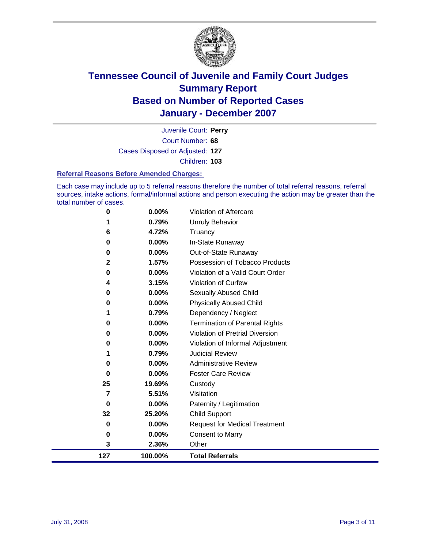

Court Number: **68** Juvenile Court: **Perry** Cases Disposed or Adjusted: **127** Children: **103**

#### **Referral Reasons Before Amended Charges:**

Each case may include up to 5 referral reasons therefore the number of total referral reasons, referral sources, intake actions, formal/informal actions and person executing the action may be greater than the total number of cases.

| $\bf{0}$    | 0.00%    | Violation of Aftercare                 |
|-------------|----------|----------------------------------------|
|             | 0.79%    | <b>Unruly Behavior</b>                 |
| 6           | 4.72%    | Truancy                                |
| 0           | 0.00%    | In-State Runaway                       |
| 0           | $0.00\%$ | Out-of-State Runaway                   |
| $\mathbf 2$ | 1.57%    | Possession of Tobacco Products         |
| 0           | 0.00%    | Violation of a Valid Court Order       |
| 4           | 3.15%    | <b>Violation of Curfew</b>             |
| 0           | 0.00%    | Sexually Abused Child                  |
| 0           | 0.00%    | <b>Physically Abused Child</b>         |
|             | 0.79%    | Dependency / Neglect                   |
| 0           | 0.00%    | <b>Termination of Parental Rights</b>  |
| 0           | 0.00%    | <b>Violation of Pretrial Diversion</b> |
| 0           | 0.00%    | Violation of Informal Adjustment       |
|             | 0.79%    | <b>Judicial Review</b>                 |
| 0           | 0.00%    | <b>Administrative Review</b>           |
| 0           | $0.00\%$ | <b>Foster Care Review</b>              |
| 25          | 19.69%   | Custody                                |
| 7           | 5.51%    | Visitation                             |
| $\bf{0}$    | 0.00%    | Paternity / Legitimation               |
| 32          | 25.20%   | <b>Child Support</b>                   |
| 0           | 0.00%    | <b>Request for Medical Treatment</b>   |
| $\bf{0}$    | 0.00%    | <b>Consent to Marry</b>                |
| 3           | 2.36%    | Other                                  |
| 127         | 100.00%  | <b>Total Referrals</b>                 |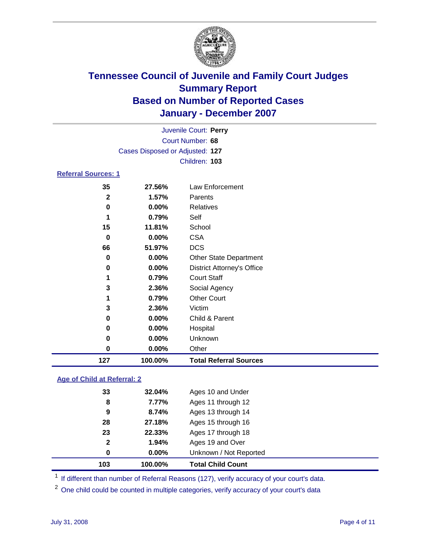

| 127                        | 100.00%                         | <b>Total Referral Sources</b>     |
|----------------------------|---------------------------------|-----------------------------------|
| 0                          | 0.00%                           | Other                             |
| 0                          | 0.00%                           | Unknown                           |
| 0                          | 0.00%                           | Hospital                          |
| 0                          | 0.00%                           | Child & Parent                    |
| 3                          | 2.36%                           | Victim                            |
| 1                          | 0.79%                           | <b>Other Court</b>                |
| 3                          | 2.36%                           | Social Agency                     |
| 1                          | 0.79%                           | <b>Court Staff</b>                |
| 0                          | 0.00%                           | <b>District Attorney's Office</b> |
| 0                          | $0.00\%$                        | <b>Other State Department</b>     |
| 66                         | 51.97%                          | <b>DCS</b>                        |
| 0                          | 0.00%                           | <b>CSA</b>                        |
| 15                         | 11.81%                          | School                            |
| 1                          | 0.79%                           | Self                              |
| 0                          | $0.00\%$                        | <b>Relatives</b>                  |
| $\overline{2}$             | 1.57%                           | Parents                           |
| 35                         | 27.56%                          | Law Enforcement                   |
| <b>Referral Sources: 1</b> |                                 |                                   |
|                            |                                 | Children: 103                     |
|                            | Cases Disposed or Adjusted: 127 |                                   |
|                            |                                 | Court Number: 68                  |
|                            |                                 | Juvenile Court: Perry             |
|                            |                                 |                                   |

### **Age of Child at Referral: 2**

| 103 | 100.00%               | <b>Total Child Count</b> |
|-----|-----------------------|--------------------------|
|     | 0.00%<br>0            | Unknown / Not Reported   |
|     | $\mathbf{2}$<br>1.94% | Ages 19 and Over         |
|     | 23<br>22.33%          | Ages 17 through 18       |
|     | 28<br>27.18%          | Ages 15 through 16       |
|     | 8.74%<br>9            | Ages 13 through 14       |
|     | 7.77%<br>8            | Ages 11 through 12       |
|     | 33<br>32.04%          | Ages 10 and Under        |
|     |                       |                          |

<sup>1</sup> If different than number of Referral Reasons (127), verify accuracy of your court's data.

<sup>2</sup> One child could be counted in multiple categories, verify accuracy of your court's data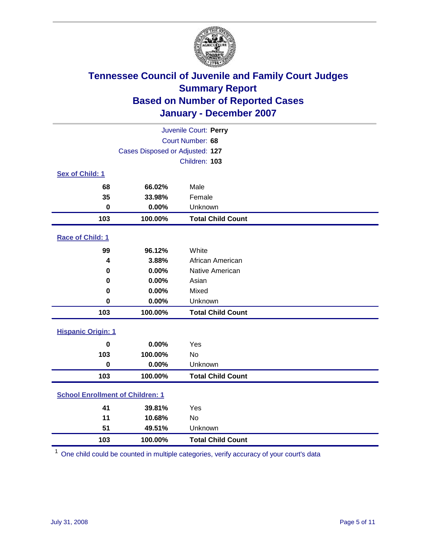

| Juvenile Court: Perry                   |                                 |                          |  |  |
|-----------------------------------------|---------------------------------|--------------------------|--|--|
| Court Number: 68                        |                                 |                          |  |  |
|                                         | Cases Disposed or Adjusted: 127 |                          |  |  |
|                                         |                                 | Children: 103            |  |  |
| Sex of Child: 1                         |                                 |                          |  |  |
| 68                                      | 66.02%                          | Male                     |  |  |
| 35                                      | 33.98%                          | Female                   |  |  |
| $\bf{0}$                                | 0.00%                           | Unknown                  |  |  |
| 103                                     | 100.00%                         | <b>Total Child Count</b> |  |  |
| <b>Race of Child: 1</b>                 |                                 |                          |  |  |
| 99                                      | 96.12%                          | White                    |  |  |
| $\boldsymbol{4}$                        | 3.88%                           | African American         |  |  |
| 0                                       | 0.00%                           | Native American          |  |  |
| 0                                       | 0.00%                           | Asian                    |  |  |
| 0                                       | 0.00%                           | Mixed                    |  |  |
| $\bf{0}$                                | 0.00%                           | Unknown                  |  |  |
| 103                                     | 100.00%                         | <b>Total Child Count</b> |  |  |
| <b>Hispanic Origin: 1</b>               |                                 |                          |  |  |
| $\mathbf 0$                             | 0.00%                           | Yes                      |  |  |
| 103                                     | 100.00%                         | <b>No</b>                |  |  |
| $\mathbf 0$                             | 0.00%                           | Unknown                  |  |  |
| 103                                     | 100.00%                         | <b>Total Child Count</b> |  |  |
| <b>School Enrollment of Children: 1</b> |                                 |                          |  |  |
| 41                                      | 39.81%                          | Yes                      |  |  |
| 11                                      | 10.68%                          | No                       |  |  |
| 51                                      | 49.51%                          | Unknown                  |  |  |
| 103                                     | 100.00%                         | <b>Total Child Count</b> |  |  |

One child could be counted in multiple categories, verify accuracy of your court's data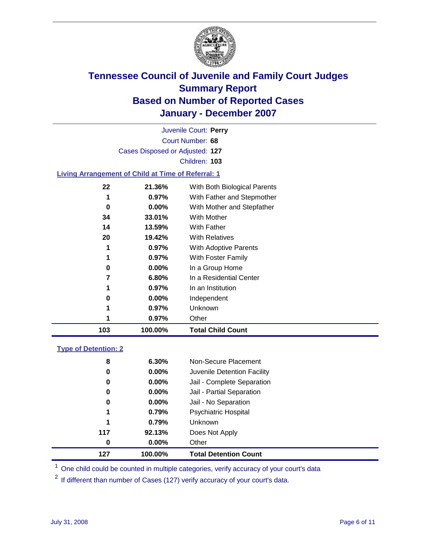

|                                              |                                                           | Juvenile Court: Perry        |  |  |  |  |  |
|----------------------------------------------|-----------------------------------------------------------|------------------------------|--|--|--|--|--|
| Court Number: 68                             |                                                           |                              |  |  |  |  |  |
| Cases Disposed or Adjusted: 127              |                                                           |                              |  |  |  |  |  |
| Children: 103                                |                                                           |                              |  |  |  |  |  |
|                                              | <b>Living Arrangement of Child at Time of Referral: 1</b> |                              |  |  |  |  |  |
| 22<br>21.36%<br>With Both Biological Parents |                                                           |                              |  |  |  |  |  |
| 1                                            | $0.97\%$                                                  | With Father and Stepmother   |  |  |  |  |  |
| 0                                            | $0.00\%$                                                  | With Mother and Stepfather   |  |  |  |  |  |
| 34                                           | <b>With Mother</b><br>33.01%                              |                              |  |  |  |  |  |
| 14                                           | 13.59%                                                    | <b>With Father</b>           |  |  |  |  |  |
| 20                                           | 19.42%                                                    | <b>With Relatives</b>        |  |  |  |  |  |
| 1                                            | 0.97%                                                     | <b>With Adoptive Parents</b> |  |  |  |  |  |

 **0.97%** With Foster Family **0.00%** In a Group Home **6.80%** In a Residential Center

 **0.97%** In an Institution **0.00%** Independent **0.97%** Unknown

**100.00% Total Child Count**

**0.97%** Other

### **Type of Detention: 2**

| 127 | 100.00%  | <b>Total Detention Count</b> |
|-----|----------|------------------------------|
| 0   | 0.00%    | Other                        |
| 117 | 92.13%   | Does Not Apply               |
| 1   | 0.79%    | Unknown                      |
| 1   | 0.79%    | <b>Psychiatric Hospital</b>  |
| 0   | $0.00\%$ | Jail - No Separation         |
| 0   | 0.00%    | Jail - Partial Separation    |
| 0   | $0.00\%$ | Jail - Complete Separation   |
| 0   | 0.00%    | Juvenile Detention Facility  |
| 8   | 6.30%    | Non-Secure Placement         |
|     |          |                              |

<sup>1</sup> One child could be counted in multiple categories, verify accuracy of your court's data

<sup>2</sup> If different than number of Cases (127) verify accuracy of your court's data.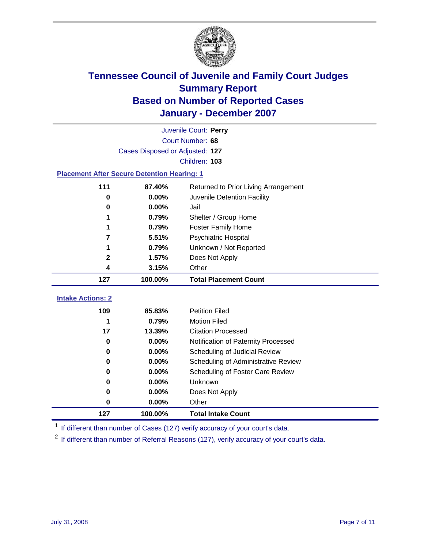

|                                 | Juvenile Court: Perry                              |                                      |  |  |  |  |
|---------------------------------|----------------------------------------------------|--------------------------------------|--|--|--|--|
| Court Number: 68                |                                                    |                                      |  |  |  |  |
|                                 | Cases Disposed or Adjusted: 127                    |                                      |  |  |  |  |
|                                 | Children: 103                                      |                                      |  |  |  |  |
|                                 | <b>Placement After Secure Detention Hearing: 1</b> |                                      |  |  |  |  |
| 111                             | 87.40%                                             | Returned to Prior Living Arrangement |  |  |  |  |
| $\bf{0}$                        | 0.00%                                              | Juvenile Detention Facility          |  |  |  |  |
| 0                               | 0.00%                                              | Jail                                 |  |  |  |  |
|                                 | 0.79%                                              | Shelter / Group Home                 |  |  |  |  |
|                                 | 0.79%                                              | <b>Foster Family Home</b>            |  |  |  |  |
| 7                               | 5.51%                                              | Psychiatric Hospital                 |  |  |  |  |
|                                 | 0.79%                                              | Unknown / Not Reported               |  |  |  |  |
| 2                               | 1.57%                                              | Does Not Apply                       |  |  |  |  |
| 4                               | 3.15%                                              | Other                                |  |  |  |  |
|                                 |                                                    |                                      |  |  |  |  |
| 127                             | 100.00%                                            | <b>Total Placement Count</b>         |  |  |  |  |
|                                 |                                                    |                                      |  |  |  |  |
| <b>Intake Actions: 2</b><br>109 | 85.83%                                             | <b>Petition Filed</b>                |  |  |  |  |
| 1                               | 0.79%                                              | <b>Motion Filed</b>                  |  |  |  |  |
| 17                              | 13.39%                                             | <b>Citation Processed</b>            |  |  |  |  |
| 0                               | 0.00%                                              | Notification of Paternity Processed  |  |  |  |  |
| 0                               | 0.00%                                              | Scheduling of Judicial Review        |  |  |  |  |
| 0                               | 0.00%                                              | Scheduling of Administrative Review  |  |  |  |  |
| 0                               | 0.00%                                              | Scheduling of Foster Care Review     |  |  |  |  |
| 0                               | 0.00%                                              | Unknown                              |  |  |  |  |
| 0                               | 0.00%                                              | Does Not Apply                       |  |  |  |  |
| $\pmb{0}$                       | 0.00%                                              | Other                                |  |  |  |  |

<sup>1</sup> If different than number of Cases (127) verify accuracy of your court's data.

<sup>2</sup> If different than number of Referral Reasons (127), verify accuracy of your court's data.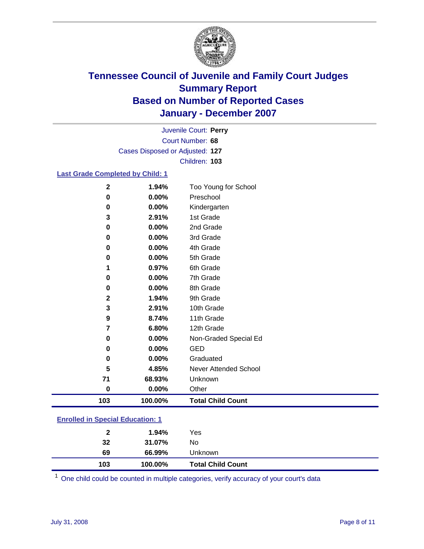

Court Number: **68** Juvenile Court: **Perry** Cases Disposed or Adjusted: **127** Children: **103**

### **Last Grade Completed by Child: 1**

| $\mathbf{2}$ | 1.94%   | Too Young for School     |
|--------------|---------|--------------------------|
| 0            | 0.00%   | Preschool                |
| 0            | 0.00%   | Kindergarten             |
| 3            | 2.91%   | 1st Grade                |
| 0            | 0.00%   | 2nd Grade                |
| 0            | 0.00%   | 3rd Grade                |
| 0            | 0.00%   | 4th Grade                |
| 0            | 0.00%   | 5th Grade                |
| 1            | 0.97%   | 6th Grade                |
| 0            | 0.00%   | 7th Grade                |
| 0            | 0.00%   | 8th Grade                |
| $\mathbf 2$  | 1.94%   | 9th Grade                |
| 3            | 2.91%   | 10th Grade               |
| 9            | 8.74%   | 11th Grade               |
| 7            | 6.80%   | 12th Grade               |
| 0            | 0.00%   | Non-Graded Special Ed    |
| 0            | 0.00%   | <b>GED</b>               |
| 0            | 0.00%   | Graduated                |
| 5            | 4.85%   | Never Attended School    |
| 71           | 68.93%  | Unknown                  |
| 0            | 0.00%   | Other                    |
| 103          | 100.00% | <b>Total Child Count</b> |

### **Enrolled in Special Education: 1**

| 32  | 31.07%  | No                       |  |
|-----|---------|--------------------------|--|
| 69  | 66.99%  | Unknown                  |  |
| 103 | 100.00% | <b>Total Child Count</b> |  |

One child could be counted in multiple categories, verify accuracy of your court's data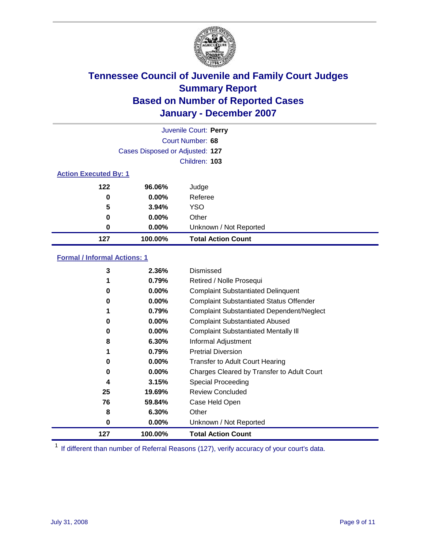

| Juvenile Court: Perry |                                 |                           |  |  |  |  |
|-----------------------|---------------------------------|---------------------------|--|--|--|--|
|                       | Court Number: 68                |                           |  |  |  |  |
|                       | Cases Disposed or Adjusted: 127 |                           |  |  |  |  |
|                       | Children: 103                   |                           |  |  |  |  |
|                       | <b>Action Executed By: 1</b>    |                           |  |  |  |  |
| 122                   | 96.06%                          | Judge                     |  |  |  |  |
| 0                     | $0.00\%$                        | Referee                   |  |  |  |  |
| 5                     | 3.94%                           | <b>YSO</b>                |  |  |  |  |
| $\bf{0}$              | $0.00\%$                        | Other                     |  |  |  |  |
| 0                     | $0.00\%$                        | Unknown / Not Reported    |  |  |  |  |
| 127                   | 100.00%                         | <b>Total Action Count</b> |  |  |  |  |

### **Formal / Informal Actions: 1**

| 3   | 2.36%    | Dismissed                                        |
|-----|----------|--------------------------------------------------|
|     | 0.79%    | Retired / Nolle Prosequi                         |
| 0   | 0.00%    | <b>Complaint Substantiated Delinquent</b>        |
| 0   | 0.00%    | <b>Complaint Substantiated Status Offender</b>   |
|     | 0.79%    | <b>Complaint Substantiated Dependent/Neglect</b> |
| 0   | $0.00\%$ | <b>Complaint Substantiated Abused</b>            |
| 0   | $0.00\%$ | <b>Complaint Substantiated Mentally III</b>      |
| 8   | 6.30%    | Informal Adjustment                              |
| 1   | 0.79%    | <b>Pretrial Diversion</b>                        |
| 0   | 0.00%    | <b>Transfer to Adult Court Hearing</b>           |
| 0   | $0.00\%$ | Charges Cleared by Transfer to Adult Court       |
| 4   | 3.15%    | Special Proceeding                               |
| 25  | 19.69%   | <b>Review Concluded</b>                          |
| 76  | 59.84%   | Case Held Open                                   |
| 8   | 6.30%    | Other                                            |
| 0   | 0.00%    | Unknown / Not Reported                           |
| 127 | 100.00%  | <b>Total Action Count</b>                        |

<sup>1</sup> If different than number of Referral Reasons (127), verify accuracy of your court's data.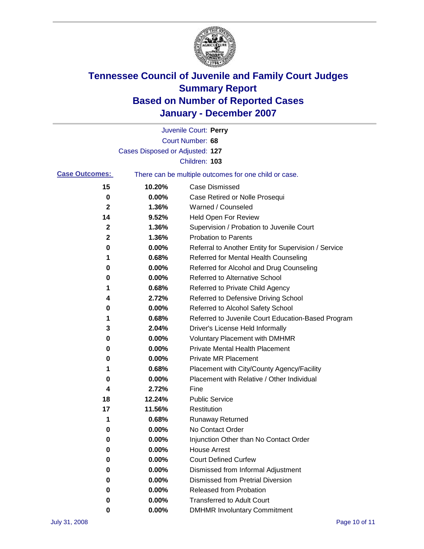

|                       |                                                       | Juvenile Court: Perry                                |
|-----------------------|-------------------------------------------------------|------------------------------------------------------|
|                       |                                                       | Court Number: 68                                     |
|                       | Cases Disposed or Adjusted: 127                       |                                                      |
|                       |                                                       | Children: 103                                        |
| <b>Case Outcomes:</b> | There can be multiple outcomes for one child or case. |                                                      |
| 15                    | 10.20%                                                | <b>Case Dismissed</b>                                |
| 0                     | 0.00%                                                 | Case Retired or Nolle Prosequi                       |
| 2                     | 1.36%                                                 | Warned / Counseled                                   |
| 14                    | 9.52%                                                 | <b>Held Open For Review</b>                          |
| 2                     | 1.36%                                                 | Supervision / Probation to Juvenile Court            |
| 2                     | 1.36%                                                 | <b>Probation to Parents</b>                          |
| 0                     | 0.00%                                                 | Referral to Another Entity for Supervision / Service |
| 1                     | 0.68%                                                 | Referred for Mental Health Counseling                |
| 0                     | 0.00%                                                 | Referred for Alcohol and Drug Counseling             |
| 0                     | 0.00%                                                 | Referred to Alternative School                       |
| 1                     | 0.68%                                                 | Referred to Private Child Agency                     |
| 4                     | 2.72%                                                 | Referred to Defensive Driving School                 |
| 0                     | 0.00%                                                 | Referred to Alcohol Safety School                    |
| 1                     | 0.68%                                                 | Referred to Juvenile Court Education-Based Program   |
| 3                     | 2.04%                                                 | Driver's License Held Informally                     |
| 0                     | 0.00%                                                 | <b>Voluntary Placement with DMHMR</b>                |
| 0                     | 0.00%                                                 | Private Mental Health Placement                      |
| 0                     | 0.00%                                                 | <b>Private MR Placement</b>                          |
| 1                     | 0.68%                                                 | Placement with City/County Agency/Facility           |
| 0                     | 0.00%                                                 | Placement with Relative / Other Individual           |
| 4                     | 2.72%                                                 | Fine                                                 |
| 18                    | 12.24%                                                | <b>Public Service</b>                                |
| 17                    | 11.56%                                                | Restitution                                          |
| 1                     | 0.68%                                                 | <b>Runaway Returned</b>                              |
| 0                     | 0.00%                                                 | No Contact Order                                     |
| 0                     | 0.00%                                                 | Injunction Other than No Contact Order               |
| 0                     | 0.00%                                                 | <b>House Arrest</b>                                  |
| 0                     | 0.00%                                                 | <b>Court Defined Curfew</b>                          |
| 0                     | 0.00%                                                 | Dismissed from Informal Adjustment                   |
| 0                     | 0.00%                                                 | <b>Dismissed from Pretrial Diversion</b>             |
| 0                     | 0.00%                                                 | Released from Probation                              |
| 0                     | 0.00%                                                 | <b>Transferred to Adult Court</b>                    |
| 0                     | 0.00%                                                 | <b>DMHMR Involuntary Commitment</b>                  |